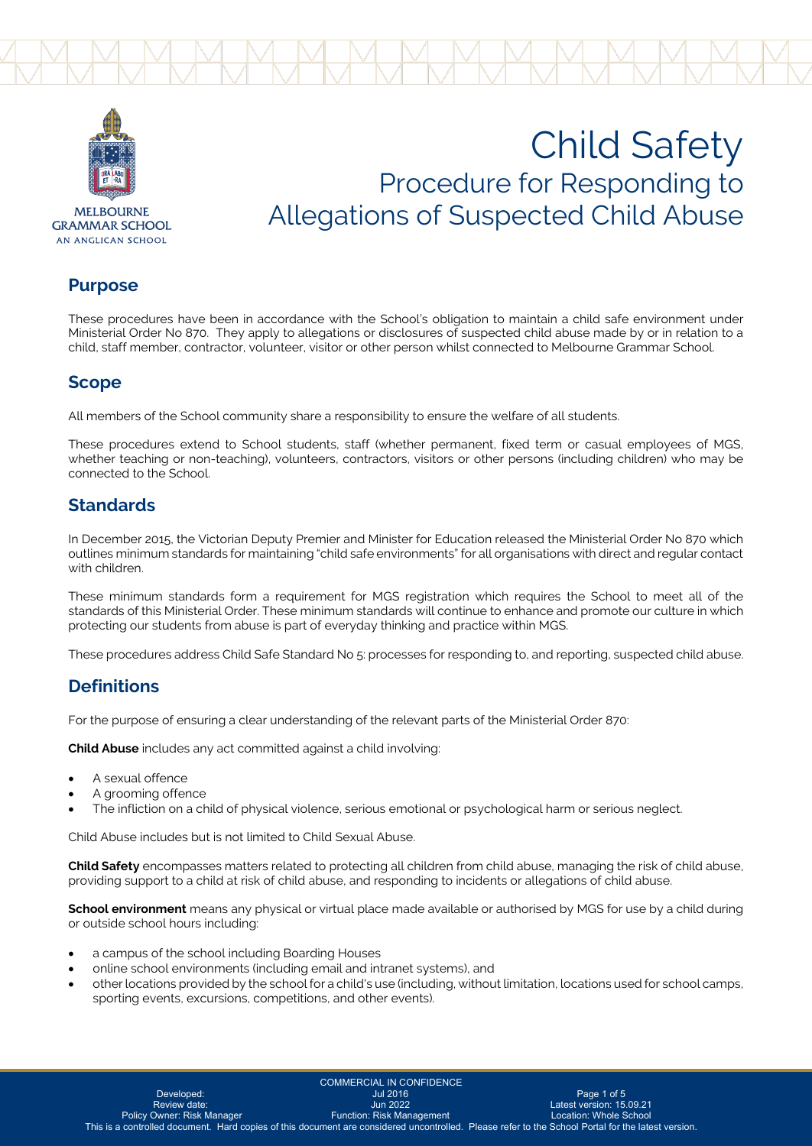



**MEI BOLIRNE GRAMMAR SCHOOL** AN ANGLICAN SCHOOL

# Child Safety Procedure for Responding to Allegations of Suspected Child Abuse

#### **Purpose**

These procedures have been in accordance with the School's obligation to maintain a child safe environment under Ministerial Order No 870. They apply to allegations or disclosures of suspected child abuse made by or in relation to a child, staff member, contractor, volunteer, visitor or other person whilst connected to Melbourne Grammar School.

### **Scope**

All members of the School community share a responsibility to ensure the welfare of all students.

These procedures extend to School students, staff (whether permanent, fixed term or casual employees of MGS, whether teaching or non-teaching), volunteers, contractors, visitors or other persons (including children) who may be connected to the School.

## **Standards**

In December 2015, the Victorian Deputy Premier and Minister for Education released the Ministerial Order No 870 which outlines minimum standards for maintaining "child safe environments" for all organisations with direct and regular contact with children.

These minimum standards form a requirement for MGS registration which requires the School to meet all of the standards of this Ministerial Order. These minimum standards will continue to enhance and promote our culture in which protecting our students from abuse is part of everyday thinking and practice within MGS.

These procedures address Child Safe Standard No 5: processes for responding to, and reporting, suspected child abuse.

## **Definitions**

For the purpose of ensuring a clear understanding of the relevant parts of the Ministerial Order 870:

**Child Abuse** includes any act committed against a child involving:

- A sexual offence
- A grooming offence
- The infliction on a child of physical violence, serious emotional or psychological harm or serious neglect.

Child Abuse includes but is not limited to Child Sexual Abuse.

**Child Safety** encompasses matters related to protecting all children from child abuse, managing the risk of child abuse, providing support to a child at risk of child abuse, and responding to incidents or allegations of child abuse.

**School environment** means any physical or virtual place made available or authorised by MGS for use by a child during or outside school hours including:

- a campus of the school including Boarding Houses
- online school environments (including email and intranet systems), and
- other locations provided by the school for a child's use (including, without limitation, locations used for school camps, sporting events, excursions, competitions, and other events).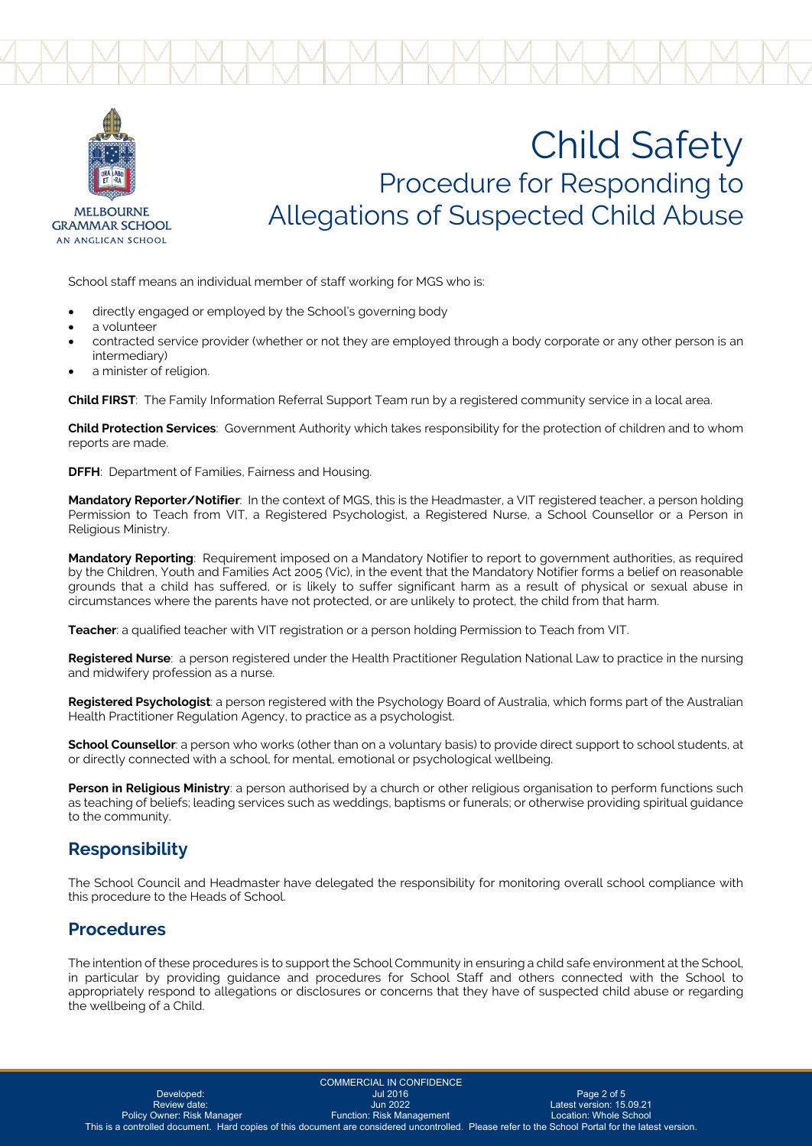

**MELBOLIRNE GRAMMAR SCHOOL** AN ANGLICAN SCHOOL

# Child Safety Procedure for Responding to Allegations of Suspected Child Abuse

School staff means an individual member of staff working for MGS who is:

- directly engaged or employed by the School's governing body
- a volunteer
- contracted service provider (whether or not they are employed through a body corporate or any other person is an intermediary)
- a minister of religion.

**Child FIRST**: The Family Information Referral Support Team run by a registered community service in a local area.

**Child Protection Services**: Government Authority which takes responsibility for the protection of children and to whom reports are made.

**DFFH**: Department of Families, Fairness and Housing.

**Mandatory Reporter/Notifier**: In the context of MGS, this is the Headmaster, a VIT registered teacher, a person holding Permission to Teach from VIT, a Registered Psychologist, a Registered Nurse, a School Counsellor or a Person in Religious Ministry.

**Mandatory Reporting**: Requirement imposed on a Mandatory Notifier to report to government authorities, as required by the Children, Youth and Families Act 2005 (Vic), in the event that the Mandatory Notifier forms a belief on reasonable grounds that a child has suffered, or is likely to suffer significant harm as a result of physical or sexual abuse in circumstances where the parents have not protected, or are unlikely to protect, the child from that harm.

**Teacher**: a qualified teacher with VIT registration or a person holding Permission to Teach from VIT.

**Registered Nurse**: a person registered under the Health Practitioner Regulation National Law to practice in the nursing and midwifery profession as a nurse.

**Registered Psychologist**: a person registered with the Psychology Board of Australia, which forms part of the Australian Health Practitioner Regulation Agency, to practice as a psychologist.

**School Counsellor**: a person who works (other than on a voluntary basis) to provide direct support to school students, at or directly connected with a school, for mental, emotional or psychological wellbeing.

**Person in Religious Ministry**: a person authorised by a church or other religious organisation to perform functions such as teaching of beliefs; leading services such as weddings, baptisms or funerals; or otherwise providing spiritual guidance to the community.

#### **Responsibility**

The School Council and Headmaster have delegated the responsibility for monitoring overall school compliance with this procedure to the Heads of School.

#### **Procedures**

The intention of these procedures is to support the School Community in ensuring a child safe environment at the School, in particular by providing guidance and procedures for School Staff and others connected with the School to appropriately respond to allegations or disclosures or concerns that they have of suspected child abuse or regarding the wellbeing of a Child.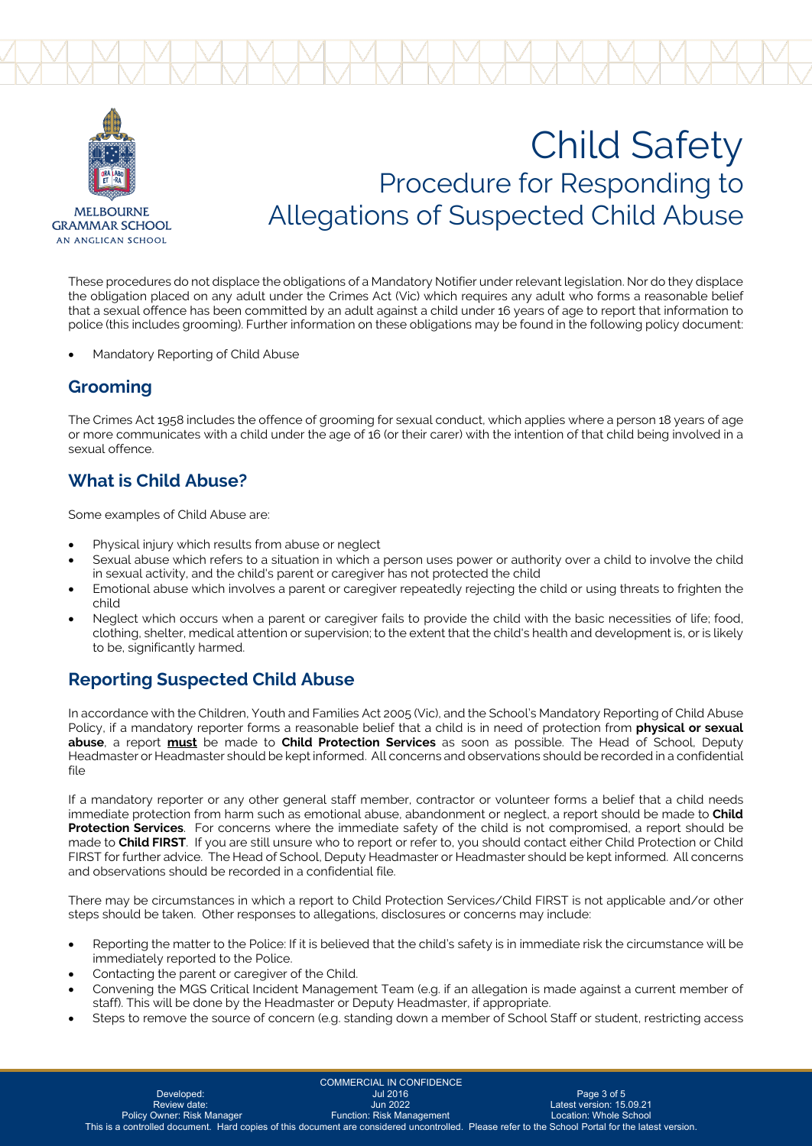

AN ANGLICAN SCHOOL

# Child Safety Procedure for Responding to Allegations of Suspected Child Abuse

These procedures do not displace the obligations of a Mandatory Notifier under relevant legislation. Nor do they displace the obligation placed on any adult under the Crimes Act (Vic) which requires any adult who forms a reasonable belief that a sexual offence has been committed by an adult against a child under 16 years of age to report that information to police (this includes grooming). Further information on these obligations may be found in the following policy document:

• Mandatory Reporting of Child Abuse

### **Grooming**

The Crimes Act 1958 includes the offence of grooming for sexual conduct, which applies where a person 18 years of age or more communicates with a child under the age of 16 (or their carer) with the intention of that child being involved in a sexual offence.

# **What is Child Abuse?**

Some examples of Child Abuse are:

- Physical injury which results from abuse or neglect
- Sexual abuse which refers to a situation in which a person uses power or authority over a child to involve the child in sexual activity, and the child's parent or caregiver has not protected the child
- Emotional abuse which involves a parent or caregiver repeatedly rejecting the child or using threats to frighten the child
- Neglect which occurs when a parent or caregiver fails to provide the child with the basic necessities of life; food, clothing, shelter, medical attention or supervision; to the extent that the child's health and development is, or is likely to be, significantly harmed.

# **Reporting Suspected Child Abuse**

In accordance with the Children, Youth and Families Act 2005 (Vic), and the School's Mandatory Reporting of Child Abuse Policy, if a mandatory reporter forms a reasonable belief that a child is in need of protection from **physical or sexual abuse**, a report **must** be made to **Child Protection Services** as soon as possible. The Head of School, Deputy Headmaster or Headmaster should be kept informed. All concerns and observations should be recorded in a confidential file

If a mandatory reporter or any other general staff member, contractor or volunteer forms a belief that a child needs immediate protection from harm such as emotional abuse, abandonment or neglect, a report should be made to **Child Protection Services**. For concerns where the immediate safety of the child is not compromised, a report should be made to **Child FIRST**. If you are still unsure who to report or refer to, you should contact either Child Protection or Child FIRST for further advice. The Head of School, Deputy Headmaster or Headmaster should be kept informed. All concerns and observations should be recorded in a confidential file.

There may be circumstances in which a report to Child Protection Services/Child FIRST is not applicable and/or other steps should be taken. Other responses to allegations, disclosures or concerns may include:

- Reporting the matter to the Police: If it is believed that the child's safety is in immediate risk the circumstance will be immediately reported to the Police.
- Contacting the parent or caregiver of the Child.
- Convening the MGS Critical Incident Management Team (e.g. if an allegation is made against a current member of staff). This will be done by the Headmaster or Deputy Headmaster, if appropriate.
- Steps to remove the source of concern (e.g. standing down a member of School Staff or student, restricting access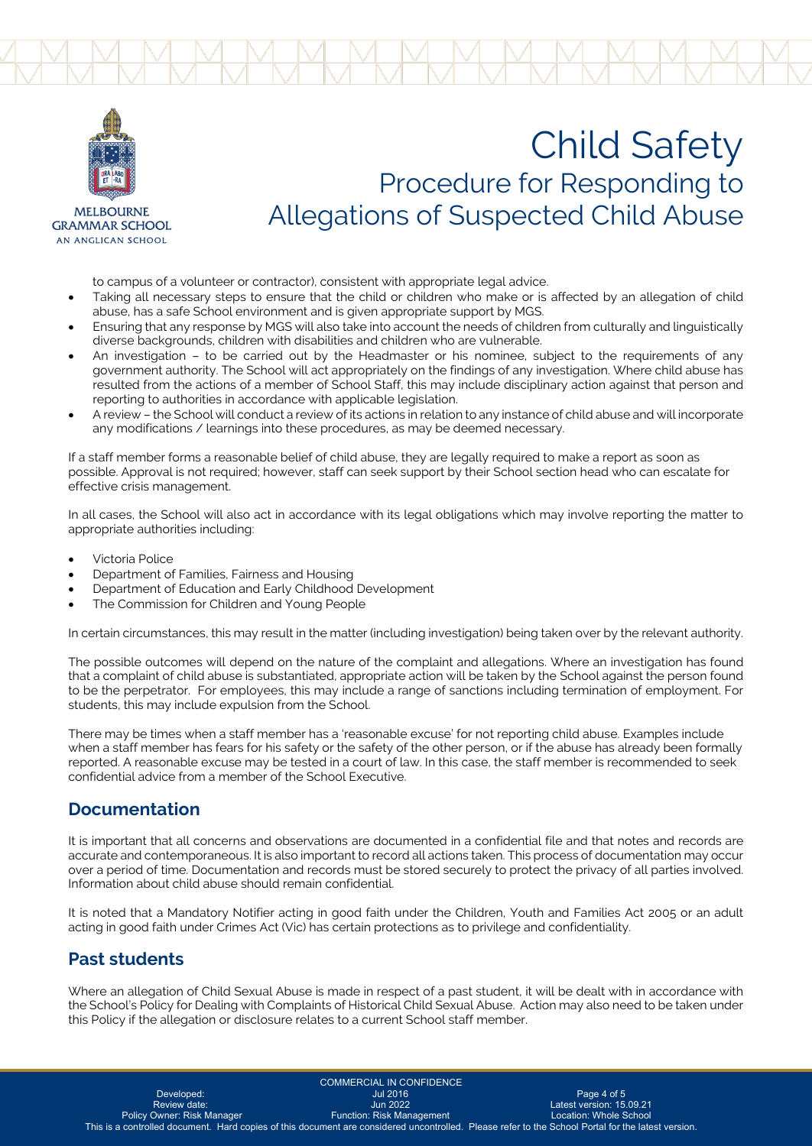

**MELBOLIRNE GRAMMAR SCHOOL** AN ANGLICAN SCHOOL

# Child Safety Procedure for Responding to Allegations of Suspected Child Abuse

to campus of a volunteer or contractor), consistent with appropriate legal advice.

- Taking all necessary steps to ensure that the child or children who make or is affected by an allegation of child abuse, has a safe School environment and is given appropriate support by MGS.
- Ensuring that any response by MGS will also take into account the needs of children from culturally and linguistically diverse backgrounds, children with disabilities and children who are vulnerable.
- An investigation to be carried out by the Headmaster or his nominee, subject to the requirements of any government authority. The School will act appropriately on the findings of any investigation. Where child abuse has resulted from the actions of a member of School Staff, this may include disciplinary action against that person and reporting to authorities in accordance with applicable legislation.
- A review the School will conduct a review of its actions in relation to any instance of child abuse and will incorporate any modifications / learnings into these procedures, as may be deemed necessary.

If a staff member forms a reasonable belief of child abuse, they are legally required to make a report as soon as possible. Approval is not required; however, staff can seek support by their School section head who can escalate for effective crisis management.

In all cases, the School will also act in accordance with its legal obligations which may involve reporting the matter to appropriate authorities including:

- Victoria Police
- Department of Families, Fairness and Housing
- Department of Education and Early Childhood Development
- The Commission for Children and Young People

In certain circumstances, this may result in the matter (including investigation) being taken over by the relevant authority.

The possible outcomes will depend on the nature of the complaint and allegations. Where an investigation has found that a complaint of child abuse is substantiated, appropriate action will be taken by the School against the person found to be the perpetrator. For employees, this may include a range of sanctions including termination of employment. For students, this may include expulsion from the School.

There may be times when a staff member has a 'reasonable excuse' for not reporting child abuse. Examples include when a staff member has fears for his safety or the safety of the other person, or if the abuse has already been formally reported. A reasonable excuse may be tested in a court of law. In this case, the staff member is recommended to seek confidential advice from a member of the School Executive.

## **Documentation**

It is important that all concerns and observations are documented in a confidential file and that notes and records are accurate and contemporaneous. It is also important to record all actions taken. This process of documentation may occur over a period of time. Documentation and records must be stored securely to protect the privacy of all parties involved. Information about child abuse should remain confidential.

It is noted that a Mandatory Notifier acting in good faith under the Children, Youth and Families Act 2005 or an adult acting in good faith under Crimes Act (Vic) has certain protections as to privilege and confidentiality.

## **Past students**

Where an allegation of Child Sexual Abuse is made in respect of a past student, it will be dealt with in accordance with the School's Policy for Dealing with Complaints of Historical Child Sexual Abuse. Action may also need to be taken under this Policy if the allegation or disclosure relates to a current School staff member.